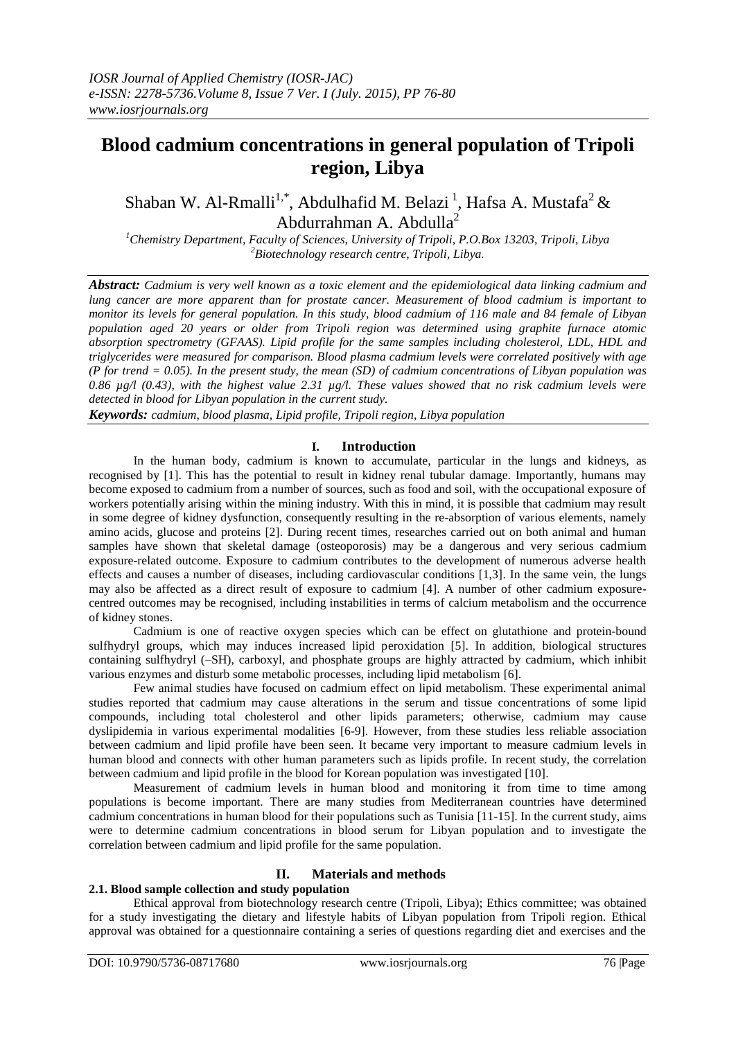# **Blood cadmium concentrations in general population of Tripoli region, Libya**

Shaban W. Al-Rmalli<sup>1,\*</sup>, Abdulhafid M. Belazi<sup>1</sup>, Hafsa A. Mustafa<sup>2</sup> & Abdurrahman A. Abdulla<sup>2</sup>

*<sup>1</sup>Chemistry Department, Faculty of Sciences, University of Tripoli, P.O.Box 13203, Tripoli, Libya <sup>2</sup>Biotechnology research centre, Tripoli, Libya.*

*Abstract: Cadmium is very well known as a toxic element and the epidemiological data linking cadmium and lung cancer are more apparent than for prostate cancer. Measurement of blood cadmium is important to monitor its levels for general population. In this study, blood cadmium of 116 male and 84 female of Libyan population aged 20 years or older from Tripoli region was determined using graphite furnace atomic absorption spectrometry (GFAAS). Lipid profile for the same samples including cholesterol, LDL, HDL and triglycerides were measured for comparison. Blood plasma cadmium levels were correlated positively with age (P for trend = 0.05). In the present study, the mean (SD) of cadmium concentrations of Libyan population was 0.86 µg/l (0.43), with the highest value 2.31 µg/l. These values showed that no risk cadmium levels were detected in blood for Libyan population in the current study.* 

*Keywords: cadmium, blood plasma, Lipid profile, Tripoli region, Libya population*

#### **I. Introduction**

In the human body, cadmium is known to accumulate, particular in the lungs and kidneys, as recognised by [1]. This has the potential to result in kidney renal tubular damage. Importantly, humans may become exposed to cadmium from a number of sources, such as food and soil, with the occupational exposure of workers potentially arising within the mining industry. With this in mind, it is possible that cadmium may result in some degree of kidney dysfunction, consequently resulting in the re-absorption of various elements, namely amino acids, glucose and proteins [2]. During recent times, researches carried out on both animal and human samples have shown that skeletal damage (osteoporosis) may be a dangerous and very serious cadmium exposure-related outcome. Exposure to cadmium contributes to the development of numerous adverse health effects and causes a number of diseases, including cardiovascular conditions [1,3]. In the same vein, the lungs may also be affected as a direct result of exposure to cadmium [4]. A number of other cadmium exposurecentred outcomes may be recognised, including instabilities in terms of calcium metabolism and the occurrence of kidney stones.

Cadmium is one of reactive oxygen species which can be effect on glutathione and protein-bound sulfhydryl groups, which may induces increased lipid peroxidation [5]. In addition, biological structures containing sulfhydryl (–SH), carboxyl, and phosphate groups are highly attracted by cadmium, which inhibit various enzymes and disturb some metabolic processes, including lipid metabolism [6].

Few animal studies have focused on cadmium effect on lipid metabolism. These experimental animal studies reported that cadmium may cause alterations in the serum and tissue concentrations of some lipid compounds, including total cholesterol and other lipids parameters; otherwise, cadmium may cause dyslipidemia in various experimental modalities [6-9]. However, from these studies less reliable association between cadmium and lipid profile have been seen. It became very important to measure cadmium levels in human blood and connects with other human parameters such as lipids profile. In recent study, the correlation between cadmium and lipid profile in the blood for Korean population was investigated [10].

Measurement of cadmium levels in human blood and monitoring it from time to time among populations is become important. There are many studies from Mediterranean countries have determined cadmium concentrations in human blood for their populations such as Tunisia [11-15]. In the current study, aims were to determine cadmium concentrations in blood serum for Libyan population and to investigate the correlation between cadmium and lipid profile for the same population.

## **II. Materials and methods**

#### **2.1. Blood sample collection and study population**

Ethical approval from biotechnology research centre (Tripoli, Libya); Ethics committee; was obtained for a study investigating the dietary and lifestyle habits of Libyan population from Tripoli region. Ethical approval was obtained for a questionnaire containing a series of questions regarding diet and exercises and the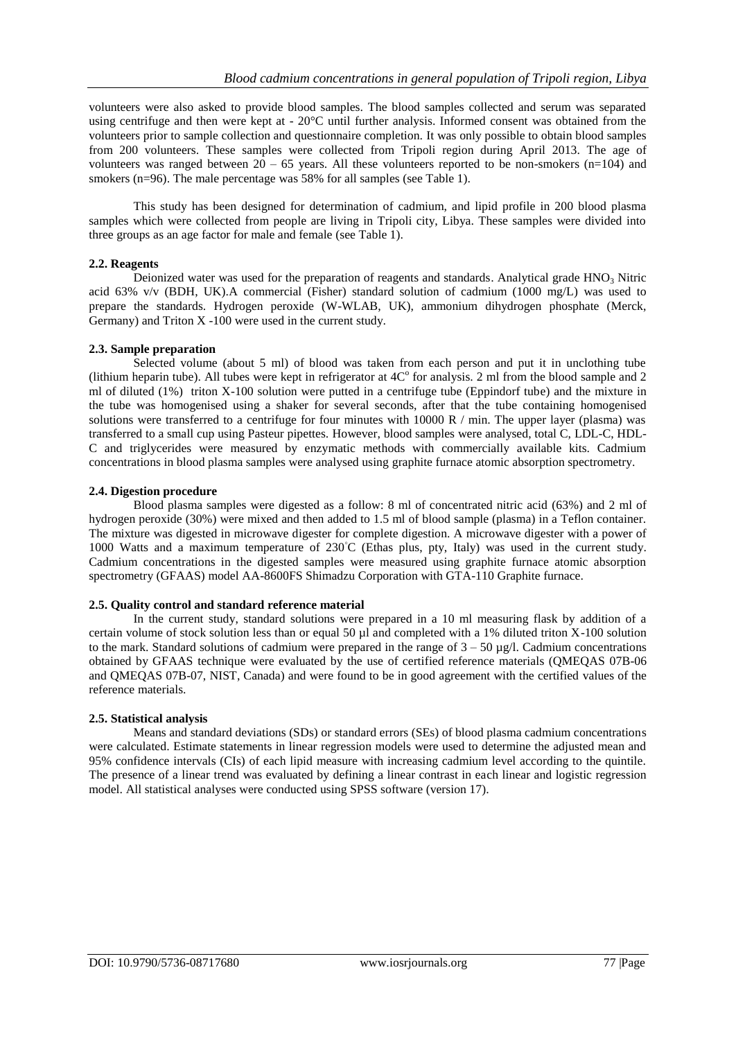volunteers were also asked to provide blood samples. The blood samples collected and serum was separated using centrifuge and then were kept at - 20°C until further analysis. Informed consent was obtained from the volunteers prior to sample collection and questionnaire completion. It was only possible to obtain blood samples from 200 volunteers. These samples were collected from Tripoli region during April 2013. The age of volunteers was ranged between  $20 - 65$  years. All these volunteers reported to be non-smokers (n=104) and smokers (n=96). The male percentage was 58% for all samples (see Table 1).

This study has been designed for determination of cadmium, and lipid profile in 200 blood plasma samples which were collected from people are living in Tripoli city, Libya. These samples were divided into three groups as an age factor for male and female (see Table 1).

#### **2.2. Reagents**

Deionized water was used for the preparation of reagents and standards. Analytical grade  $HNO<sub>3</sub>$  Nitric acid 63% v/v (BDH, UK).A commercial (Fisher) standard solution of cadmium (1000 mg/L) was used to prepare the standards. Hydrogen peroxide (W-WLAB, UK), ammonium dihydrogen phosphate (Merck, Germany) and Triton X -100 were used in the current study.

#### **2.3. Sample preparation**

Selected volume (about 5 ml) of blood was taken from each person and put it in unclothing tube (lithium heparin tube). All tubes were kept in refrigerator at  $4C<sup>o</sup>$  for analysis. 2 ml from the blood sample and 2 ml of diluted (1%) triton X-100 solution were putted in a centrifuge tube (Eppindorf tube) and the mixture in the tube was homogenised using a shaker for several seconds, after that the tube containing homogenised solutions were transferred to a centrifuge for four minutes with  $10000 R / min$ . The upper layer (plasma) was transferred to a small cup using Pasteur pipettes. However, blood samples were analysed, total C, LDL-C, HDL-C and triglycerides were measured by enzymatic methods with commercially available kits. Cadmium concentrations in blood plasma samples were analysed using graphite furnace atomic absorption spectrometry.

#### **2.4. Digestion procedure**

Blood plasma samples were digested as a follow: 8 ml of concentrated nitric acid (63%) and 2 ml of hydrogen peroxide (30%) were mixed and then added to 1.5 ml of blood sample (plasma) in a Teflon container. The mixture was digested in microwave digester for complete digestion. A microwave digester with a power of 1000 Watts and a maximum temperature of 230**◦**C (Ethas plus, pty, Italy) was used in the current study. Cadmium concentrations in the digested samples were measured using graphite furnace atomic absorption spectrometry (GFAAS) model AA-8600FS Shimadzu Corporation with GTA-110 Graphite furnace.

### **2.5. Quality control and standard reference material**

In the current study, standard solutions were prepared in a 10 ml measuring flask by addition of a certain volume of stock solution less than or equal 50 µl and completed with a 1% diluted triton X-100 solution to the mark. Standard solutions of cadmium were prepared in the range of  $3 - 50 \mu g/l$ . Cadmium concentrations obtained by GFAAS technique were evaluated by the use of certified reference materials (QMEQAS 07B-06 and QMEQAS 07B-07, NIST, Canada) and were found to be in good agreement with the certified values of the reference materials.

## **2.5. Statistical analysis**

Means and standard deviations (SDs) or standard errors (SEs) of blood plasma cadmium concentrations were calculated. Estimate statements in linear regression models were used to determine the adjusted mean and 95% confidence intervals (CIs) of each lipid measure with increasing cadmium level according to the quintile. The presence of a linear trend was evaluated by defining a linear contrast in each linear and logistic regression model. All statistical analyses were conducted using SPSS software (version 17).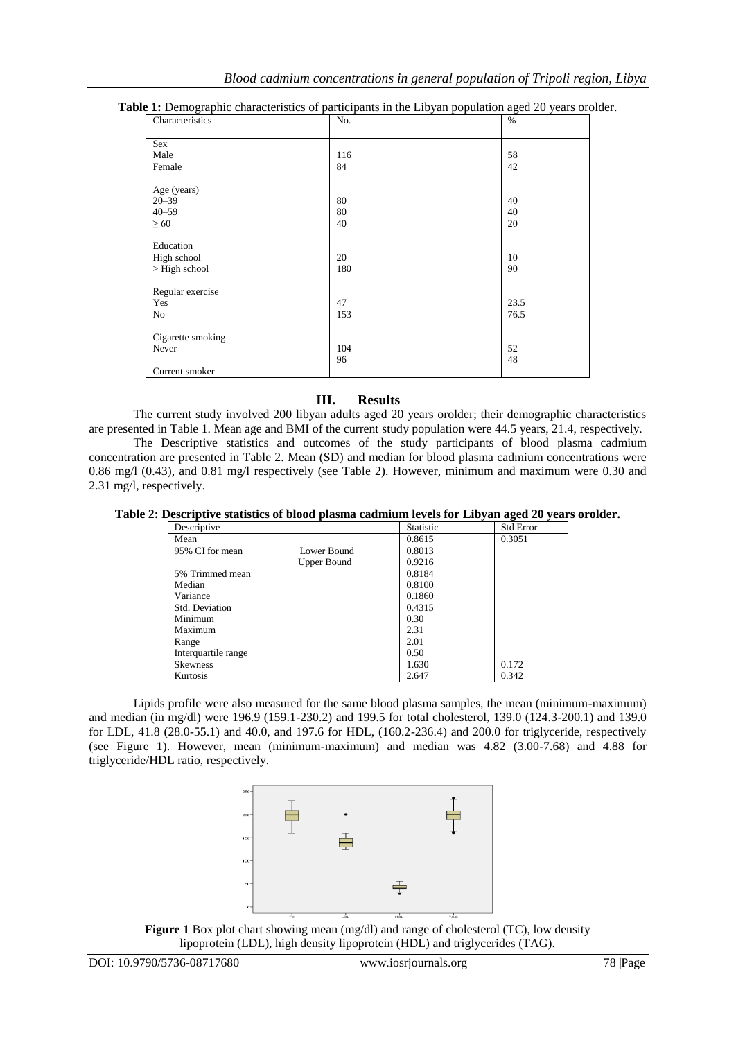| Characteristics   | No. | $\%$ |
|-------------------|-----|------|
| Sex               |     |      |
| Male              | 116 | 58   |
| Female            | 84  | 42   |
| Age (years)       |     |      |
| $20 - 39$         | 80  | 40   |
| $40 - 59$         | 80  | 40   |
| $\geq 60$         | 40  | 20   |
| Education         |     |      |
| High school       | 20  | 10   |
| $>$ High school   | 180 | 90   |
| Regular exercise  |     |      |
| Yes               | 47  | 23.5 |
| No                | 153 | 76.5 |
| Cigarette smoking |     |      |
| Never             | 104 | 52   |
|                   | 96  | 48   |
| Current smoker    |     |      |

#### **Table 1:** Demographic characteristics of participants in the Libyan population aged 20 years orolder.

## **III. Results**

The current study involved 200 libyan adults aged 20 years orolder; their demographic characteristics are presented in Table 1. Mean age and BMI of the current study population were 44.5 years, 21.4, respectively.

The Descriptive statistics and outcomes of the study participants of blood plasma cadmium concentration are presented in Table 2. Mean (SD) and median for blood plasma cadmium concentrations were 0.86 mg/l (0.43), and 0.81 mg/l respectively (see Table 2). However, minimum and maximum were 0.30 and 2.31 mg/l, respectively.

**Table 2: Descriptive statistics of blood plasma cadmium levels for Libyan aged 20 years orolder.**

| Descriptive         |             | Statistic | <b>Std Error</b> |
|---------------------|-------------|-----------|------------------|
| Mean                |             | 0.8615    | 0.3051           |
| 95% CI for mean     | Lower Bound | 0.8013    |                  |
|                     | Upper Bound | 0.9216    |                  |
| 5% Trimmed mean     |             | 0.8184    |                  |
| Median              |             | 0.8100    |                  |
| Variance            |             | 0.1860    |                  |
| Std. Deviation      |             | 0.4315    |                  |
| Minimum             |             | 0.30      |                  |
| Maximum             |             | 2.31      |                  |
| Range               |             | 2.01      |                  |
| Interquartile range |             | 0.50      |                  |
| <b>Skewness</b>     |             | 1.630     | 0.172            |
| Kurtosis            |             | 2.647     | 0.342            |

Lipids profile were also measured for the same blood plasma samples, the mean (minimum-maximum) and median (in mg/dl) were 196.9 (159.1-230.2) and 199.5 for total cholesterol, 139.0 (124.3-200.1) and 139.0 for LDL, 41.8 (28.0-55.1) and 40.0, and 197.6 for HDL, (160.2-236.4) and 200.0 for triglyceride, respectively (see Figure 1). However, mean (minimum-maximum) and median was 4.82 (3.00-7.68) and 4.88 for triglyceride/HDL ratio, respectively.



**Figure 1** Box plot chart showing mean (mg/dl) and range of cholesterol (TC), low density lipoprotein (LDL), high density lipoprotein (HDL) and triglycerides (TAG).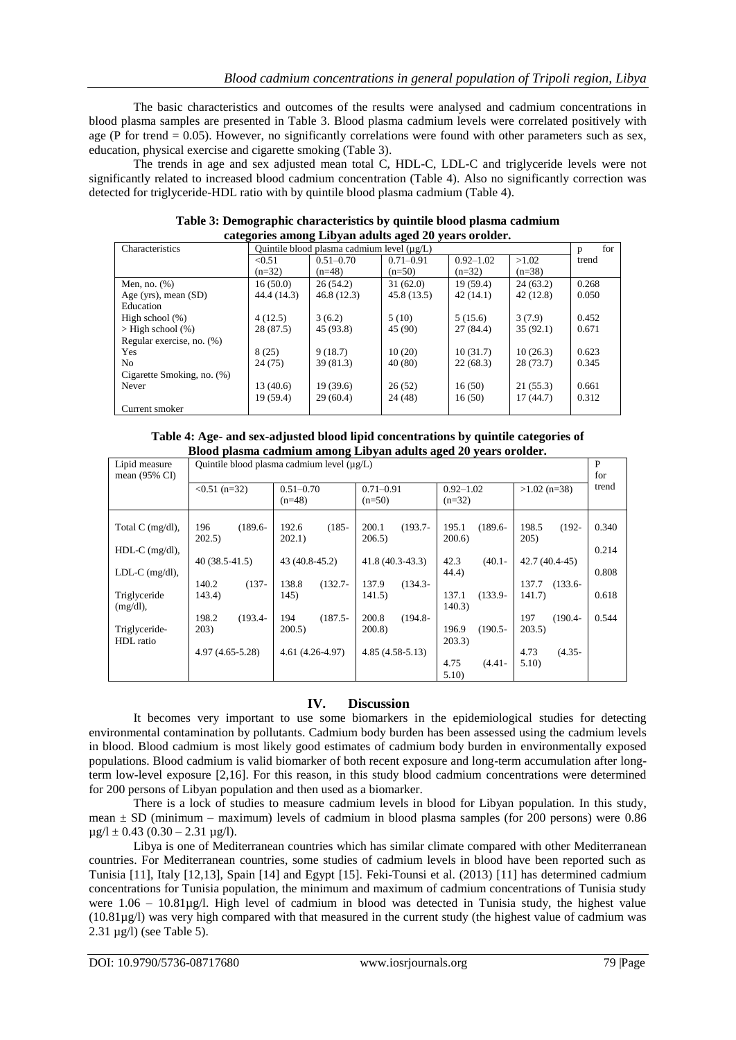The basic characteristics and outcomes of the results were analysed and cadmium concentrations in blood plasma samples are presented in Table 3. Blood plasma cadmium levels were correlated positively with age (P for trend  $= 0.05$ ). However, no significantly correlations were found with other parameters such as sex, education, physical exercise and cigarette smoking (Table 3).

The trends in age and sex adjusted mean total C, HDL-C, LDL-C and triglyceride levels were not significantly related to increased blood cadmium concentration (Table 4). Also no significantly correction was detected for triglyceride-HDL ratio with by quintile blood plasma cadmium (Table 4).

| Characteristics            | Quintile blood plasma cadmium level (µg/L) |               |               |               | for<br>p |       |
|----------------------------|--------------------------------------------|---------------|---------------|---------------|----------|-------|
|                            | < 0.51                                     | $0.51 - 0.70$ | $0.71 - 0.91$ | $0.92 - 1.02$ | >1.02    | trend |
|                            | $(n=32)$                                   | $(n=48)$      | $(n=50)$      | $(n=32)$      | $(n=38)$ |       |
| Men, no. $(\%)$            | 16(50.0)                                   | 26(54.2)      | 31(62.0)      | 19(59.4)      | 24(63.2) | 0.268 |
| Age (yrs), mean $(SD)$     | 44.4 (14.3)                                | 46.8(12.3)    | 45.8(13.5)    | 42(14.1)      | 42(12.8) | 0.050 |
| Education                  |                                            |               |               |               |          |       |
| High school $(\%)$         | 4(12.5)                                    | 3(6.2)        | 5(10)         | 5(15.6)       | 3(7.9)   | 0.452 |
| $>$ High school $(\%)$     | 28 (87.5)                                  | 45 (93.8)     | 45 (90)       | 27(84.4)      | 35(92.1) | 0.671 |
| Regular exercise, no. (%)  |                                            |               |               |               |          |       |
| <b>Yes</b>                 | 8(25)                                      | 9(18.7)       | 10(20)        | 10(31.7)      | 10(26.3) | 0.623 |
| N <sub>0</sub>             | 24(75)                                     | 39(81.3)      | 40 (80)       | 22(68.3)      | 28(73.7) | 0.345 |
| Cigarette Smoking, no. (%) |                                            |               |               |               |          |       |
| Never                      | 13(40.6)                                   | 19(39.6)      | 26(52)        | 16(50)        | 21(55.3) | 0.661 |
|                            | 19 (59.4)                                  | 29(60.4)      | 24 (48)       | 16(50)        | 17(44.7) | 0.312 |
| Current smoker             |                                            |               |               |               |          |       |

**Table 3: Demographic characteristics by quintile blood plasma cadmium categories among Libyan adults aged 20 years orolder.**

| Table 4: Age- and sex-adjusted blood lipid concentrations by quintile categories of |  |
|-------------------------------------------------------------------------------------|--|
| Blood plasma cadmium among Libyan adults aged 20 years orolder.                     |  |

| Lipid measure<br>mean $(95\% \text{ CI})$ | Quintile blood plasma cadmium level (µg/L) |                             |                               |                               | P<br>for                      |                |
|-------------------------------------------|--------------------------------------------|-----------------------------|-------------------------------|-------------------------------|-------------------------------|----------------|
|                                           | $< 0.51$ (n=32)                            | $0.51 - 0.70$<br>$(n=48)$   | $0.71 - 0.91$<br>$(n=50)$     | $0.92 - 1.02$<br>$(n=32)$     | $>1.02$ (n=38)                | trend          |
| Total C $(mg/dl)$ ,<br>$HDL-C$ (mg/dl),   | $(189.6 -$<br>196<br>202.5)                | $(185 -$<br>192.6<br>202.1) | 200.1<br>$(193.7 -$<br>206.5) | 195.1<br>$(189.6 -$<br>200.6  | 198.5<br>$(192 -$<br>205)     | 0.340<br>0.214 |
| LDL-C $(mg/dl)$ ,                         | $40(38.5-41.5)$                            | 43 (40.8-45.2)              | $41.8(40.3-43.3)$             | 42.3<br>$(40.1 -$<br>44.4)    | $42.7(40.4-45)$               | 0.808          |
| Triglyceride<br>$(mg/dl)$ ,               | 140.2<br>$(137 -$<br>143.4)                | 138.8<br>$(132.7 -$<br>145) | $(134.3 -$<br>137.9<br>141.5) | 137.1<br>$(133.9 -$<br>140.3) | 137.7<br>$(133.6 -$<br>141.7) | 0.618          |
| Triglyceride-<br>HDL ratio                | 198.2<br>$(193.4 -$<br>203)                | $(187.5 -$<br>194<br>200.5  | 200.8<br>$(194.8 -$<br>200.8) | $(190.5 -$<br>196.9<br>203.3) | $(190.4 -$<br>197<br>203.5)   | 0.544          |
|                                           | $4.97(4.65-5.28)$                          | $4.61(4.26-4.97)$           | $4.85(4.58-5.13)$             | 4.75<br>$(4.41 -$<br>5.10     | $(4.35 -$<br>4.73<br>5.10     |                |

## **IV. Discussion**

It becomes very important to use some biomarkers in the epidemiological studies for detecting environmental contamination by pollutants. Cadmium body burden has been assessed using the cadmium levels in blood. Blood cadmium is most likely good estimates of cadmium body burden in environmentally exposed populations. Blood cadmium is valid biomarker of both recent exposure and long-term accumulation after longterm low-level exposure [2,16]. For this reason, in this study blood cadmium concentrations were determined for 200 persons of Libyan population and then used as a biomarker.

There is a lock of studies to measure cadmium levels in blood for Libyan population. In this study, mean  $\pm$  SD (minimum – maximum) levels of cadmium in blood plasma samples (for 200 persons) were 0.86  $\mu$ g/l ± 0.43 (0.30 – 2.31  $\mu$ g/l).

Libya is one of Mediterranean countries which has similar climate compared with other Mediterranean countries. For Mediterranean countries, some studies of cadmium levels in blood have been reported such as Tunisia [11], Italy [12,13], Spain [14] and Egypt [15]. Feki-Tounsi et al. (2013) [11] has determined cadmium concentrations for Tunisia population, the minimum and maximum of cadmium concentrations of Tunisia study were  $1.06 - 10.81\mu g/l$ . High level of cadmium in blood was detected in Tunisia study, the highest value (10.81µg/l) was very high compared with that measured in the current study (the highest value of cadmium was 2.31 µg/l) (see Table 5).